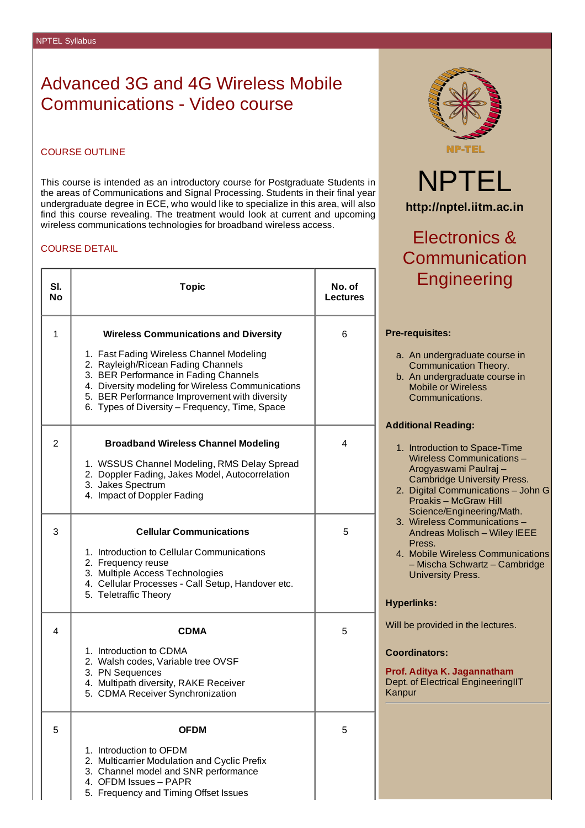### Advanced 3G and 4G Wireless Mobile Communications - Video course

### COURSE OUTLINE

This course is intended as an introductory course for Postgraduate Students in the areas of Communications and Signal Processing. Students in their final year undergraduate degree in ECE, who would like to specialize in this area, will also find this course revealing. The treatment would look at current and upcoming wireless communications technologies for broadband wireless access.

### COURSE DETAIL

| SI.<br>Νo      | <b>Topic</b>                                                                                                                                                                                                                                                                                                                    | No. of<br><b>Lectures</b> |
|----------------|---------------------------------------------------------------------------------------------------------------------------------------------------------------------------------------------------------------------------------------------------------------------------------------------------------------------------------|---------------------------|
| $\mathbf{1}$   | <b>Wireless Communications and Diversity</b><br>1. Fast Fading Wireless Channel Modeling<br>2. Rayleigh/Ricean Fading Channels<br>3. BER Performance in Fading Channels<br>4. Diversity modeling for Wireless Communications<br>5. BER Performance Improvement with diversity<br>6. Types of Diversity - Frequency, Time, Space | 6                         |
| $\overline{c}$ | <b>Broadband Wireless Channel Modeling</b><br>1. WSSUS Channel Modeling, RMS Delay Spread<br>2. Doppler Fading, Jakes Model, Autocorrelation<br>3. Jakes Spectrum<br>4. Impact of Doppler Fading                                                                                                                                | 4                         |
| 3              | <b>Cellular Communications</b><br>1. Introduction to Cellular Communications<br>2. Frequency reuse<br>3. Multiple Access Technologies<br>4. Cellular Processes - Call Setup, Handover etc.<br>5. Teletraffic Theory                                                                                                             | 5                         |
| 4              | <b>CDMA</b><br>1. Introduction to CDMA<br>2. Walsh codes, Variable tree OVSF<br>3. PN Sequences<br>4. Multipath diversity, RAKE Receiver<br>5. CDMA Receiver Synchronization                                                                                                                                                    | 5                         |
| 5              | <b>OFDM</b><br>1. Introduction to OFDM<br>2. Multicarrier Modulation and Cyclic Prefix<br>3. Channel model and SNR performance<br>4. OFDM Issues - PAPR<br>5. Frequency and Timing Offset Issues                                                                                                                                | 5                         |



# NPTEL **http://nptel.iitm.ac.in**

## Electronics & Communication Engineering

#### **Pre-requisites:**

|                                    | a. An undergraduate course in                                       |  |  |  |
|------------------------------------|---------------------------------------------------------------------|--|--|--|
|                                    | Communication Theory.                                               |  |  |  |
|                                    | b. An undergraduate course in                                       |  |  |  |
|                                    | <b>Mobile or Wireless</b>                                           |  |  |  |
|                                    | Communications.                                                     |  |  |  |
|                                    |                                                                     |  |  |  |
| <b>Additional Reading:</b>         |                                                                     |  |  |  |
|                                    | 1. Introduction to Space-Time                                       |  |  |  |
|                                    | Wireless Communications-                                            |  |  |  |
|                                    | Arogyaswami Paulraj -                                               |  |  |  |
|                                    | <b>Cambridge University Press.</b>                                  |  |  |  |
|                                    | 2. Digital Communications - John G                                  |  |  |  |
|                                    | <b>Proakis - McGraw Hill</b>                                        |  |  |  |
|                                    | Science/Engineering/Math.                                           |  |  |  |
|                                    | 3. Wireless Communications -<br><b>Andreas Molisch - Wiley IEEE</b> |  |  |  |
|                                    | Press.                                                              |  |  |  |
|                                    | 4. Mobile Wireless Communications                                   |  |  |  |
|                                    | - Mischa Schwartz - Cambridge                                       |  |  |  |
|                                    | <b>University Press.</b>                                            |  |  |  |
|                                    |                                                                     |  |  |  |
| <b>Hyperlinks:</b>                 |                                                                     |  |  |  |
|                                    |                                                                     |  |  |  |
| Will be provided in the lectures.  |                                                                     |  |  |  |
|                                    |                                                                     |  |  |  |
|                                    | <b>Coordinators:</b>                                                |  |  |  |
|                                    | Prof. Aditya K. Jagannatham                                         |  |  |  |
| Dept. of Electrical EngineeringIIT |                                                                     |  |  |  |
| Kanpur                             |                                                                     |  |  |  |
|                                    |                                                                     |  |  |  |
|                                    |                                                                     |  |  |  |
|                                    |                                                                     |  |  |  |
|                                    |                                                                     |  |  |  |
|                                    |                                                                     |  |  |  |
|                                    |                                                                     |  |  |  |
|                                    |                                                                     |  |  |  |
|                                    |                                                                     |  |  |  |